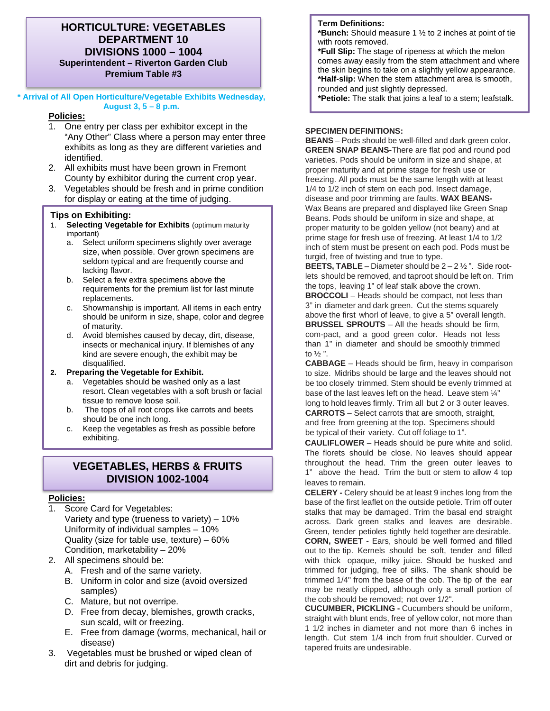## **HORTICULTURE: VEGETABLES DEPARTMENT 10 DIVISIONS 1000 – 1004 Superintendent – Riverton Garden Club Premium Table #3**

**\* Arrival of All Open Horticulture/Vegetable Exhibits Wednesday, August 3, 5 – 8 p.m.**

#### **Policies:**

- 1. One entry per class per exhibitor except in the "Any Other" Class where a person may enter three exhibits as long as they are different varieties and identified.
- 2. All exhibits must have been grown in Fremont County by exhibitor during the current crop year.
- 3. Vegetables should be fresh and in prime condition for display or eating at the time of judging.

### **Tips on Exhibiting:**

- 1. **Selecting Vegetable for Exhibits** (optimum maturity important)
	- a. Select uniform specimens slightly over average size, when possible. Over grown specimens are seldom typical and are frequently course and lacking flavor.
	- b. Select a few extra specimens above the requirements for the premium list for last minute replacements.
	- Showmanship is important. All items in each entry should be uniform in size, shape, color and degree of maturity.
	- d. Avoid blemishes caused by decay, dirt, disease, insects or mechanical injury. If blemishes of any kind are severe enough, the exhibit may be disqualified.
- **2. Preparing the Vegetable for Exhibit.**
	- a. Vegetables should be washed only as a last resort. Clean vegetables with a soft brush or facial tissue to remove loose soil.
	- b. The tops of all root crops like carrots and beets should be one inch long.
	- c. Keep the vegetables as fresh as possible before exhibiting.

# **VEGETABLES, HERBS & FRUITS DIVISION 1002-1004**

#### **Policies:**

- 1. Score Card for Vegetables: Variety and type (trueness to variety) – 10% Uniformity of individual samples – 10% Quality (size for table use, texture) – 60% Condition, marketability – 20%
- 2. All specimens should be:
	- A. Fresh and of the same variety.
	- B. Uniform in color and size (avoid oversized samples)
	- C. Mature, but not overripe.
	- D. Free from decay, blemishes, growth cracks, sun scald, wilt or freezing.
	- E. Free from damage (worms, mechanical, hail or disease)
- 3. Vegetables must be brushed or wiped clean of dirt and debris for judging.

### **Term Definitions:**

**\*Bunch:** Should measure 1 ½ to 2 inches at point of tie with roots removed.

**\*Full Slip:** The stage of ripeness at which the melon comes away easily from the stem attachment and where the skin begins to take on a slightly yellow appearance. **\*Half-slip:** When the stem attachment area is smooth, rounded and just slightly depressed.

**\*Petiole:** The stalk that joins a leaf to a stem; leafstalk.

#### **SPECIMEN DEFINITIONS:**

**BEANS** – Pods should be well-filled and dark green color. **GREEN SNAP BEANS-**There are flat pod and round pod varieties. Pods should be uniform in size and shape, at proper maturity and at prime stage for fresh use or freezing. All pods must be the same length with at least 1/4 to 1/2 inch of stem on each pod. Insect damage, disease and poor trimming are faults. **WAX BEANS-**Wax Beans are prepared and displayed like Green Snap Beans. Pods should be uniform in size and shape, at proper maturity to be golden yellow (not beany) and at prime stage for fresh use of freezing. At least 1/4 to 1/2 inch of stem must be present on each pod. Pods must be turgid, free of twisting and true to type.

**BEETS, TABLE** – Diameter should be 2 – 2 ½ ". Side rootlets should be removed, and taproot should be left on. Trim the tops, leaving 1" of leaf stalk above the crown. **BROCCOLI** – Heads should be compact, not less than 3" in diameter and dark green. Cut the stems squarely above the first whorl of leave, to give a 5" overall length. **BRUSSEL SPROUTS** – All the heads should be firm, com-pact, and a good green color. Heads not less than 1" in diameter and should be smoothly trimmed to ½ ".

**CABBAGE** – Heads should be firm, heavy in comparison to size. Midribs should be large and the leaves should not be too closely trimmed. Stem should be evenly trimmed at base of the last leaves left on the head. Leave stem ¼" long to hold leaves firmly. Trim all but 2 or 3 outer leaves. **CARROTS** – Select carrots that are smooth, straight, and free from greening at the top. Specimens should be typical of their variety. Cut off foliage to 1".

**CAULIFLOWER** – Heads should be pure white and solid. The florets should be close. No leaves should appear throughout the head. Trim the green outer leaves to 1" above the head. Trim the butt or stem to allow 4 top leaves to remain.

**CELERY -** Celery should be at least 9 inches long from the base of the first leaflet on the outside petiole. Trim off outer stalks that may be damaged. Trim the basal end straight across. Dark green stalks and leaves are desirable. Green, tender petioles tightly held together are desirable. **CORN, SWEET -** Ears, should be well formed and filled out to the tip. Kernels should be soft, tender and filled with thick opaque, milky juice. Should be husked and trimmed for judging, free of silks. The shank should be trimmed 1/4" from the base of the cob. The tip of the ear may be neatly clipped, although only a small portion of the cob should be removed; not over 1/2".

**CUCUMBER, PICKLING -** Cucumbers should be uniform, straight with blunt ends, free of yellow color, not more than 1 1/2 inches in diameter and not more than 6 inches in length. Cut stem 1/4 inch from fruit shoulder. Curved or tapered fruits are undesirable.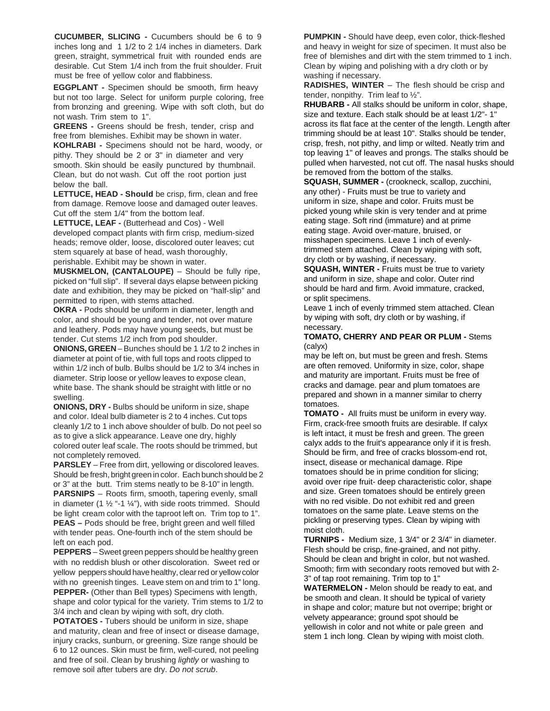**CUCUMBER, SLICING -** Cucumbers should be 6 to 9 inches long and 1 1/2 to 2 1/4 inches in diameters. Dark green, straight, symmetrical fruit with rounded ends are desirable. Cut Stem 1/4 inch from the fruit shoulder. Fruit must be free of yellow color and flabbiness.

**EGGPLANT -** Specimen should be smooth, firm heavy but not too large. Select for uniform purple coloring, free from bronzing and greening. Wipe with soft cloth, but do not wash. Trim stem to 1".

**GREENS -** Greens should be fresh, tender, crisp and free from blemishes. Exhibit may be shown in water.

**KOHLRABI -** Specimens should not be hard, woody, or pithy. They should be 2 or 3" in diameter and very smooth. Skin should be easily punctured by thumbnail. Clean, but do not wash. Cut off the root portion just below the ball.

**LETTUCE, HEAD - Should** be crisp, firm, clean and free from damage. Remove loose and damaged outer leaves. Cut off the stem 1/4" from the bottom leaf.

**LETTUCE, LEAF -** (Butterhead and Cos) - Well developed compact plants with firm crisp, medium-sized heads; remove older, loose, discolored outer leaves; cut stem squarely at base of head, wash thoroughly, perishable. Exhibit may be shown in water.

**MUSKMELON, (CANTALOUPE)** – Should be fully ripe, picked on "full slip". If several days elapse between picking date and exhibition, they may be picked on "half-slip" and permitted to ripen, with stems attached.

**OKRA -** Pods should be uniform in diameter, length and color, and should be young and tender, not over mature and leathery. Pods may have young seeds, but must be tender. Cut stems 1/2 inch from pod shoulder.

**ONIONS, GREEN** – Bunches should be 1 1/2 to 2 inches in diameter at point of tie, with full tops and roots clipped to within 1/2 inch of bulb. Bulbs should be 1/2 to 3/4 inches in diameter. Strip loose or yellow leaves to expose clean, white base. The shank should be straight with little or no swelling.

**ONIONS, DRY -** Bulbs should be uniform in size, shape and color. Ideal bulb diameter is 2 to 4 inches. Cut tops cleanly 1/2 to 1 inch above shoulder of bulb. Do not peel so as to give a slick appearance. Leave one dry, highly colored outer leaf scale. The roots should be trimmed, but not completely removed.

**PARSLEY** – Free from dirt, yellowing or discolored leaves. Should be fresh, bright green in color. Each bunch should be 2 or 3" at the butt. Trim stems neatly to be 8-10" in length. **PARSNIPS** – Roots firm, smooth, tapering evenly, small in diameter (1  $\frac{1}{2}$  "-1  $\frac{1}{4}$ "), with side roots trimmed. Should be light cream color with the taproot left on. Trim top to 1". **PEAS –** Pods should be free, bright green and well filled with tender peas. One-fourth inch of the stem should be left on each pod.

**PEPPERS** – Sweet green peppers should be healthy green with no reddish blush or other discoloration. Sweet red or yellow peppers should have healthy, clear red or yellow color with no greenish tinges. Leave stem on and trim to 1" long. **PEPPER-** (Other than Bell types) Specimens with length, shape and color typical for the variety. Trim stems to 1/2 to 3/4 inch and clean by wiping with soft, dry cloth.

**POTATOES -** Tubers should be uniform in size, shape and maturity, clean and free of insect or disease damage, injury cracks, sunburn, or greening. Size range should be 6 to 12 ounces. Skin must be firm, well-cured, not peeling and free of soil. Clean by brushing *lightly* or washing to remove soil after tubers are dry. *Do not scrub*.

**PUMPKIN -** Should have deep, even color, thick-fleshed and heavy in weight for size of specimen. It must also be free of blemishes and dirt with the stem trimmed to 1 inch. Clean by wiping and polishing with a dry cloth or by washing if necessary.

**RADISHES, WINTER** – The flesh should be crisp and tender, nonpithy. Trim leaf to ½".

**RHUBARB -** All stalks should be uniform in color, shape, size and texture. Each stalk should be at least 1/2"- 1" across its flat face at the center of the length. Length after trimming should be at least 10". Stalks should be tender, crisp, fresh, not pithy, and limp or wilted. Neatly trim and top leaving 1" of leaves and prongs. The stalks should be pulled when harvested, not cut off. The nasal husks should be removed from the bottom of the stalks.

**SQUASH, SUMMER -** (crookneck, scallop, zucchini, any other) - Fruits must be true to variety and uniform in size, shape and color. Fruits must be picked young while skin is very tender and at prime eating stage. Soft rind (immature) and at prime eating stage. Avoid over-mature, bruised, or misshapen specimens. Leave 1 inch of evenlytrimmed stem attached. Clean by wiping with soft, dry cloth or by washing, if necessary.

**SQUASH, WINTER -** Fruits must be true to variety and uniform in size, shape and color. Outer rind should be hard and firm. Avoid immature, cracked, or split specimens.

Leave 1 inch of evenly trimmed stem attached. Clean by wiping with soft, dry cloth or by washing, if necessary.

#### **TOMATO, CHERRY AND PEAR OR PLUM -** Stems (calyx)

may be left on, but must be green and fresh. Stems are often removed. Uniformity in size, color, shape and maturity are important. Fruits must be free of cracks and damage. pear and plum tomatoes are prepared and shown in a manner similar to cherry tomatoes.

**TOMATO -** All fruits must be uniform in every way. Firm, crack-free smooth fruits are desirable. If calyx is left intact, it must be fresh and green. The green calyx adds to the fruit's appearance only if it is fresh. Should be firm, and free of cracks blossom-end rot, insect, disease or mechanical damage. Ripe tomatoes should be in prime condition for slicing; avoid over ripe fruit- deep characteristic color, shape and size. Green tomatoes should be entirely green with no red visible. Do not exhibit red and green tomatoes on the same plate. Leave stems on the pickling or preserving types. Clean by wiping with moist cloth.

**TURNIPS -** Medium size, 1 3/4" or 2 3/4" in diameter. Flesh should be crisp, fine-grained, and not pithy. Should be clean and bright in color, but not washed. Smooth; firm with secondary roots removed but with 2- 3" of tap root remaining. Trim top to 1"

**WATERMELON -** Melon should be ready to eat, and be smooth and clean. It should be typical of variety in shape and color; mature but not overripe; bright or velvety appearance; ground spot should be yellowish in color and not white or pale green and stem 1 inch long. Clean by wiping with moist cloth.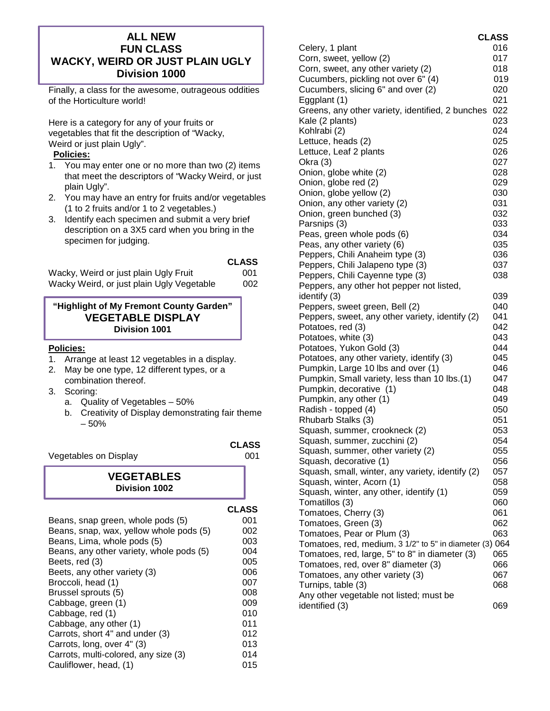# **ALL NEW FUN CLASS WACKY, WEIRD OR JUST PLAIN UGLY Division 1000**

Finally, a class for the awesome, outrageous oddities of the Horticulture world!

Here is a category for any of your fruits or vegetables that fit the description of "Wacky, Weird or just plain Ugly".

## **Policies:**

- 1. You may enter one or no more than two (2) items that meet the descriptors of "Wacky Weird, or just plain Ugly".
- 2. You may have an entry for fruits and/or vegetables (1 to 2 fruits and/or 1 to 2 vegetables.)
- 3. Identify each specimen and submit a very brief description on a 3X5 card when you bring in the specimen for judging.

|                                           | <b>CLASS</b> |
|-------------------------------------------|--------------|
| Wacky, Weird or just plain Ugly Fruit     | 001          |
| Wacky Weird, or just plain Ugly Vegetable | 002          |

## **"Highlight of My Fremont County Garden" VEGETABLE DISPLAY Division 1001**

### **Policies:**

- 1. Arrange at least 12 vegetables in a display.
- 2. May be one type, 12 different types, or a combination thereof.
- 3. Scoring:
	- a. Quality of Vegetables 50%
	- b. Creativity of Display demonstrating fair theme – 50%

Vegetables on Display **1988** 001

**CLASS**

# **VEGETABLES Division 1002**

|                                          | <b>CLASS</b> |
|------------------------------------------|--------------|
| Beans, snap green, whole pods (5)        | 001          |
| Beans, snap, wax, yellow whole pods (5)  | 002          |
| Beans, Lima, whole pods (5)              | 003          |
| Beans, any other variety, whole pods (5) | 004          |
| Beets, red (3)                           | 005          |
| Beets, any other variety (3)             | 006          |
| Broccoli, head (1)                       | 007          |
| Brussel sprouts (5)                      | 008          |
| Cabbage, green (1)                       | 009          |
| Cabbage, red (1)                         | 010          |
| Cabbage, any other (1)                   | 011          |
| Carrots, short 4" and under (3)          | 012          |
| Carrots, long, over 4" (3)               | 013          |
| Carrots, multi-colored, any size (3)     | 014          |
| Cauliflower, head, (1)                   | 015          |

| Celery, 1 plant                                         | 016 |
|---------------------------------------------------------|-----|
| Corn, sweet, yellow (2)                                 | 017 |
| Corn, sweet, any other variety (2)                      | 018 |
| Cucumbers, pickling not over 6" (4)                     | 019 |
| Cucumbers, slicing 6" and over (2)                      | 020 |
| Eggplant (1)                                            | 021 |
| Greens, any other variety, identified, 2 bunches        | 022 |
| Kale (2 plants)                                         | 023 |
| Kohlrabi (2)                                            | 024 |
| Lettuce, heads (2)                                      | 025 |
| Lettuce, Leaf 2 plants                                  | 026 |
| Okra (3)                                                | 027 |
| Onion, globe white (2)                                  | 028 |
| Onion, globe red (2)                                    | 029 |
| Onion, globe yellow (2)                                 | 030 |
| Onion, any other variety (2)                            | 031 |
| Onion, green bunched (3)                                | 032 |
| Parsnips (3)                                            | 033 |
| Peas, green whole pods (6)                              | 034 |
| Peas, any other variety (6)                             | 035 |
| Peppers, Chili Anaheim type (3)                         | 036 |
| Peppers, Chili Jalapeno type (3)                        | 037 |
| Peppers, Chili Cayenne type (3)                         | 038 |
| Peppers, any other hot pepper not listed,               |     |
| identify (3)                                            | 039 |
| Peppers, sweet green, Bell (2)                          | 040 |
| Peppers, sweet, any other variety, identify (2)         | 041 |
| Potatoes, red (3)                                       | 042 |
| Potatoes, white (3)                                     | 043 |
| Potatoes, Yukon Gold (3)                                | 044 |
| Potatoes, any other variety, identify (3)               | 045 |
| Pumpkin, Large 10 lbs and over (1)                      | 046 |
| Pumpkin, Small variety, less than 10 lbs.(1)            | 047 |
| Pumpkin, decorative (1)                                 | 048 |
| Pumpkin, any other (1)                                  | 049 |
| Radish - topped (4)                                     | 050 |
| Rhubarb Stalks (3)                                      | 051 |
| Squash, summer, crookneck (2)                           | 053 |
| Squash, summer, zucchini (2)                            | 054 |
| Squash, summer, other variety (2)                       | 055 |
| Squash, decorative (1)                                  | 056 |
| Squash, small, winter, any variety, identify (2)        | 057 |
| Squash, winter, Acorn (1)                               | 058 |
| Squash, winter, any other, identify (1)                 | 059 |
| Tomatillos (3)                                          | 060 |
| Tomatoes, Cherry (3)                                    | 061 |
| Tomatoes, Green (3)                                     | 062 |
| Tomatoes, Pear or Plum (3)                              | 063 |
| Tomatoes, red, medium, 3 1/2" to 5" in diameter (3) 064 |     |
| Tomatoes, red, large, 5" to 8" in diameter (3)          | 065 |
| Tomatoes, red, over 8" diameter (3)                     | 066 |
| Tomatoes, any other variety (3)                         | 067 |
| Turnips, table (3)                                      | 068 |
| Any other vegetable not listed; must be                 |     |
| identified (3)                                          | 069 |
|                                                         |     |

**CLASS**